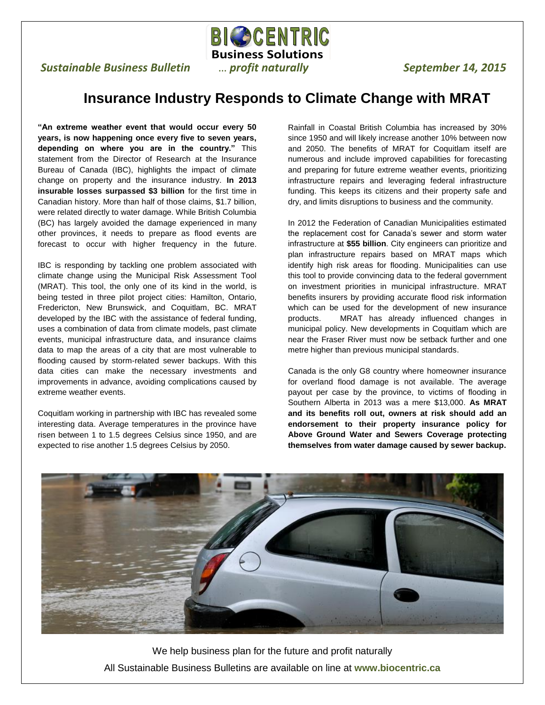**BIGSCENTRIC Business Solutions**

 $\overline{a}$ 

## **Sustainable Business Bulletin and** *m m profit naturally September 14, 2015*

## **Insurance Industry Responds to Climate Change with MRAT**

**"An extreme weather event that would occur every 50 years, is now happening once every five to seven years, depending on where you are in the country."** This statement from the Director of Research at the Insurance Bureau of Canada (IBC), highlights the impact of climate change on property and the insurance industry. **In 2013 insurable losses surpassed \$3 billion** for the first time in Canadian history. More than half of those claims, \$1.7 billion, were related directly to water damage. While British Columbia (BC) has largely avoided the damage experienced in many other provinces, it needs to prepare as flood events are forecast to occur with higher frequency in the future.

IBC is responding by tackling one problem associated with climate change using the Municipal Risk Assessment Tool (MRAT). This tool, the only one of its kind in the world, is being tested in three pilot project cities: Hamilton, Ontario, Fredericton, New Brunswick, and Coquitlam, BC. MRAT developed by the IBC with the assistance of federal funding, uses a combination of data from climate models, past climate events, municipal infrastructure data, and insurance claims data to map the areas of a city that are most vulnerable to flooding caused by storm-related sewer backups. With this data cities can make the necessary investments and improvements in advance, avoiding complications caused by extreme weather events.

Coquitlam working in partnership with IBC has revealed some interesting data. Average temperatures in the province have risen between 1 to 1.5 degrees Celsius since 1950, and are expected to rise another 1.5 degrees Celsius by 2050.

Rainfall in Coastal British Columbia has increased by 30% since 1950 and will likely increase another 10% between now and 2050. The benefits of MRAT for Coquitlam itself are numerous and include improved capabilities for forecasting and preparing for future extreme weather events, prioritizing infrastructure repairs and leveraging federal infrastructure funding. This keeps its citizens and their property safe and dry, and limits disruptions to business and the community.

In 2012 the Federation of Canadian Municipalities estimated the replacement cost for Canada's sewer and storm water infrastructure at **\$55 billion**. City engineers can prioritize and plan infrastructure repairs based on MRAT maps which identify high risk areas for flooding. Municipalities can use this tool to provide convincing data to the federal government on investment priorities in municipal infrastructure. MRAT benefits insurers by providing accurate flood risk information which can be used for the development of new insurance products. MRAT has already influenced changes in municipal policy. New developments in Coquitlam which are near the Fraser River must now be setback further and one metre higher than previous municipal standards.

Canada is the only G8 country where homeowner insurance for overland flood damage is not available. The average payout per case by the province, to victims of flooding in Southern Alberta in 2013 was a mere \$13,000. **As MRAT and its benefits roll out, owners at risk should add an endorsement to their property insurance policy for Above Ground Water and Sewers Coverage protecting themselves from water damage caused by sewer backup.**



We help business plan for the future and profit naturally All Sustainable Business Bulletins are available on line at **www.biocentric.ca**